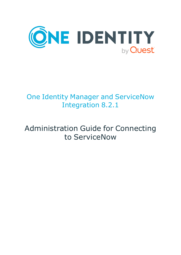

# One Identity Manager and ServiceNow Integration 8.2.1

# Administration Guide for Connecting to ServiceNow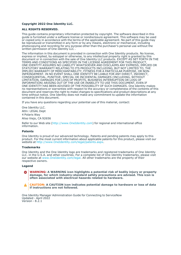#### **Copyright 2022 One Identity LLC.**

#### **ALL RIGHTS RESERVED.**

This guide contains proprietary information protected by copyright. The software described in this guide is furnished under a software license or nondisclosure agreement. This software may be used or copied only in accordance with the terms of the applicable agreement. No part of this guide may be reproduced or transmitted in any form or by any means, electronic or mechanical, including photocopying and recording for any purpose other than the purchaser's personal use without the written permission of One Identity LLC .

The information in this document is provided in connection with One Identity products. No license, express or implied, by estoppel or otherwise, to any intellectual property right is granted by this document or in connection with the sale of One Identity LLC products. EXCEPT AS SET FORTH IN THE TERMS AND CONDITIONS AS SPECIFIED IN THE LICENSE AGREEMENT FOR THIS PRODUCT, ONE IDENTITY ASSUMES NO LIABILITY WHATSOEVER AND DISCLAIMS ANY EXPRESS, IMPLIED OR STATUTORY WARRANTY RELATING TO ITS PRODUCTS INCLUDING, BUT NOT LIMITED TO, THE IMPLIED WARRANTY OF MERCHANTABILITY, FITNESS FOR A PARTICULAR PURPOSE, OR NON-INFRINGEMENT. IN NO EVENT SHALL ONE IDENTITY BE LIABLE FOR ANY DIRECT, INDIRECT, CONSEQUENTIAL, PUNITIVE, SPECIAL OR INCIDENTAL DAMAGES (INCLUDING, WITHOUT LIMITATION, DAMAGES FOR LOSS OF PROFITS, BUSINESS INTERRUPTION OR LOSS OF INFORMATION) ARISING OUT OF THE USE OR INABILITY TO USE THIS DOCUMENT, EVEN IF ONE IDENTITY HAS BEEN ADVISED OF THE POSSIBILITY OF SUCH DAMAGES. One Identity makes no representations or warranties with respect to the accuracy or completeness of the contents of this document and reserves the right to make changes to specifications and product descriptions at any time without notice. One Identity does not make any commitment to update the information contained in this document.

If you have any questions regarding your potential use of this material, contact:

One Identity LLC. Attn: LEGAL Dept 4 Polaris Way Aliso Viejo, CA 92656

Refer to our Web site [\(http://www.OneIdentity.com](http://www.oneidentity.com/)) for regional and international office information.

#### **Patents**

One Identity is proud of our advanced technology. Patents and pending patents may apply to this product. For the most current information about applicable patents for this product, please visit our website at [http://www.OneIdentity.com/legal/patents.aspx.](http://www.oneidentity.com/legal/patents.aspx)

#### **Trademarks**

One Identity and the One Identity logo are trademarks and registered trademarks of One Identity LLC. in the U.S.A. and other countries. For a complete list of One Identity trademarks, please visit our website at [www.OneIdentity.com/legal](http://www.oneidentity.com/legal). All other trademarks are the property of their respective owners.

#### **Legend**

**WARNING: A WARNING icon highlights a potential risk of bodily injury or property** œ **damage, for which industry-standard safety precautions are advised. This icon is often associated with electrical hazards related to hardware.**

**CAUTION: A CAUTION icon indicates potential damage to hardware or loss of data if instructions are not followed.**

One Identity Manager Administration Guide for Connecting to ServiceNow Updated - April 2022 Version -  $8.\overline{2}.1$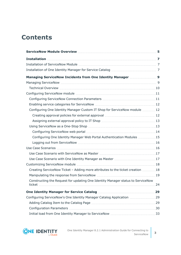# **Contents**

| Configuring One Identity Manager Custom IT Shop for ServiceNow module  12       |  |
|---------------------------------------------------------------------------------|--|
|                                                                                 |  |
|                                                                                 |  |
|                                                                                 |  |
|                                                                                 |  |
| Configuring One Identity Manager Web Portal Authentication Modules 15           |  |
|                                                                                 |  |
|                                                                                 |  |
|                                                                                 |  |
|                                                                                 |  |
|                                                                                 |  |
| Creating ServiceNow Ticket - Adding more attributes to the ticket creation  18  |  |
|                                                                                 |  |
| Constructing the Request for updating One Identity Manager status to ServiceNow |  |
|                                                                                 |  |
| Configuring ServiceNow's One Identity Manager Catalog Application 29            |  |
|                                                                                 |  |
|                                                                                 |  |
|                                                                                 |  |

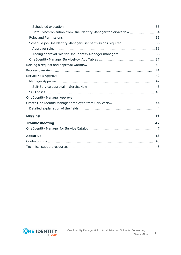| Data Synchronization from One Identity Manager to ServiceNow 34                                                                                                                                                                |  |
|--------------------------------------------------------------------------------------------------------------------------------------------------------------------------------------------------------------------------------|--|
|                                                                                                                                                                                                                                |  |
|                                                                                                                                                                                                                                |  |
|                                                                                                                                                                                                                                |  |
|                                                                                                                                                                                                                                |  |
|                                                                                                                                                                                                                                |  |
|                                                                                                                                                                                                                                |  |
|                                                                                                                                                                                                                                |  |
|                                                                                                                                                                                                                                |  |
|                                                                                                                                                                                                                                |  |
|                                                                                                                                                                                                                                |  |
|                                                                                                                                                                                                                                |  |
|                                                                                                                                                                                                                                |  |
|                                                                                                                                                                                                                                |  |
|                                                                                                                                                                                                                                |  |
|                                                                                                                                                                                                                                |  |
|                                                                                                                                                                                                                                |  |
|                                                                                                                                                                                                                                |  |
|                                                                                                                                                                                                                                |  |
| .48. The contacting us well assumed to the set of the set of the set of the set of the set of the set of the set of the set of the set of the set of the set of the set of the set of the set of the set of the set of the set |  |
|                                                                                                                                                                                                                                |  |

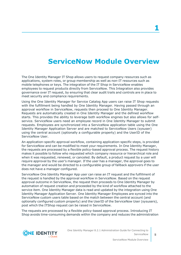# **ServiceNow Module Overview**

<span id="page-4-0"></span>The One Identity Manager IT Shop allows users to request company resources such as applications, system roles, or group membership as well as non-IT resources such as mobile telephones or keys. The integration of the IT Shop in ServiceNow enables employees to request products directly from ServiceNow. This Integration also provides governance over IT request, by ensuring that clear audit trails and controls are in place to meet security and compliance requirements.

Using the One Identity Manager for Service Catalog App users can raise IT Shop requests with the fulfillment being handled by One Identity Manager. Having passed through an approval workflow in ServiceNow, requests then proceed to One Identity Manager. Requests are automatically created in One Identity Manager and the defined workflow starts. This provides the ability to leverage both workflow engines but also allows for selfservice. ServiceNow users need an employee record in One Identity Manager to submit requests. Employees are synchronized into a ServiceNow application table using the One Identity Manager Application Server and are matched to ServiceNow Users (sysuser) using the central account (optionally a configurable property) and the UserID of the ServiceNow User.

An application-specific approval workflow, containing application-specific steps, is provided for ServiceNow and can be modified to meet your requirements. In One Identity Manager, the requests are processed by a flexible policy-based approval process. The request history makes it possible to follow who requested which company resource or hierarchical role and when it was requested, renewed, or canceled. By default, a product request by a user will require approval by the user's manager. If the user has a manager, the approval goes to the manager and would be directed to a configurable group of fallback approvers if the user does not have a manager configured.

ServiceNow One Identity Manager App user can raise an IT request and the fulfillment of the request is handled by the approval workflow in ServiceNow. Based on the request approval outcome in ServiceNow, the request then proceeds to One Identity Manager by automation of request creation and proceeded by the kind of workflow attached to the service item. One Identity Manager data is read and updated by the integration using One Identity Manager Application Server. One Identity Manager Employees are synced into the ServiceNow custom users table based on the match between the central account (and optionally configured custom property) and the UserID of the ServiceNow User (sysusers), post which the ITShop request can be raised in ServiceNow.

The requests are processed by a flexible policy-based approval process. Introducing IT Shop avoids time-consuming demands within the company and reduces the administration

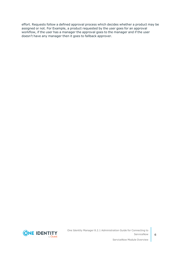effort. Requests follow a defined approval process which decides whether a product may be assigned or not. For Example, a product requested by the user goes for an approval workflow, if the user has a manager the approval goes to the manager and if the user doesn't have any manager then it goes to fallback approver.

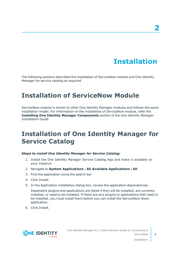# **Installation**

<span id="page-6-0"></span>The following sections described the installation of ServiceNow module and One Identity Manager for service catalog as required.

## <span id="page-6-1"></span>**Installation of ServiceNow Module**

ServiceNow module is similar to other One Identity Manager modules and follows the same installation model. For information on the installation of ServiceNow module, refer the **Installing One Identity Manager Components** section of the *One Identity Manager Installation Guide*.

## <span id="page-6-2"></span>**Installation of One Identity Manager for Service Catalog**

#### *Steps to install One Identity Manager for Service Catalog:*

- 1. Install the One Identity Manager Service Catalog App and make it available on your instance
- 2. Navigate to **System Applications** | **All Available Applications** | **All**.
- 3. Find the application using the search bar
- 4. Click Install.
- 5. In the Application installation dialog box, review the application dependencies.

Dependent plugins and applications are listed if they will be installed, are currently installed, or need to be installed. If there are any plugins or applications that need to be installed, you must install them before you can install the ServiceNow Store application.

6. Click Install.



Installation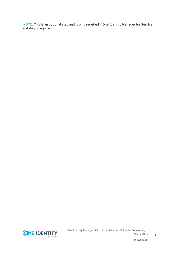NOTE: This is an optional step and is only required if One Identity Manager for Service Catalog is required



**8**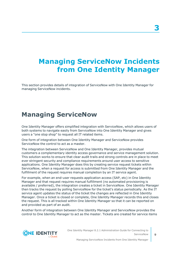# <span id="page-8-0"></span>**Managing ServiceNow Incidents from One Identity Manager**

This section provides details of integration of ServiceNow with One Identity Manager for managing ServiceNow incidents.

## <span id="page-8-1"></span>**Managing ServiceNow**

One Identity Manager offers simplified integration with ServiceNow, which allows users of both systems to navigate easily from ServiceNow into One Identity Manager and gives users a "one stop shop" to request all IT related items.

One form of integration between One Identity Manager and ServiceNow provides ServiceNow the control to act as a master.

The integration between ServiceNow and One Identity Manager, provides mutual customers a complementary identity access governance and service management solution. This solution works to ensure that clear audit trails and strong controls are in place to meet ever stringent security and compliance requirements around user access to sensitive applications. One Identity Manager does this by creating service request tickets within ServiceNow, when a request for access is submitted from One Identity Manager and the fulfillment of the request requires manual completion by an IT service agent.

For example, when an end-user requests application access (SAP, etc) in One Identity Manager and that request requires manual fulfillment (no automated provisioning is available / preferred), the integration creates a ticket in ServiceNow. One Identity Manager then tracks the request by polling ServiceNow for the ticket's status periodically. As the IT service agent updates the status of the ticket the changes are reflected in One Identity Manager. Once a ticket is closed or complete, One Identity Manager records this and closes the request. This is all tracked within One Identity Manager so that it can be reported on and provided as part of an audit.

Another form of integration between One Identity Manager and ServiceNow provides the control to One Identity Manager to act as the master. Tickets are created for service items

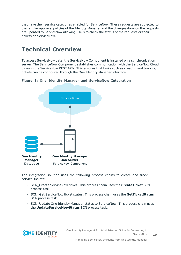that have their service categories enabled for ServiceNow. These requests are subjected to the regular approval policies of the Identity Manager and the changes done on the requests are updated to ServiceNow allowing users to check the status of the requests or their tickets on ServiceNow.

## <span id="page-9-0"></span>**Technical Overview**

To access ServiceNow data, the ServiceNow Component is installed on a synchronization server. The ServiceNow Component establishes communication with the ServiceNow Cloud through the ServiceNow REST APIs. This ensures that tasks such as creating and tracking tickets can be configured through the One Identity Manager interface.

**Figure 1: One Identity Manager and ServiceNow Integration**



The integration solution uses the following process chains to create and track service tickets:

- **SCN** Create ServiceNow ticket: This process chain uses the **CreateTicket** SCN process task.
- **SCN** Get ServiceNow ticket status: This process chain uses the GetTicketStatus SCN process task.
- SCN\_Update One Identity Manager status to ServiceNow: This process chain uses the **UpdateServiceNowStatus** SCN process task.

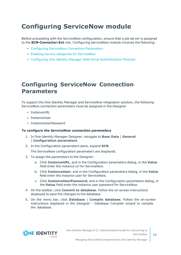# <span id="page-10-0"></span>**Configuring ServiceNow module**

Before proceeding with the ServiceNow configuration, ensure that a job server is assigned to the **SCN-Connector-Ext** role. Configuring ServiceNow module involves the following:

- **Configuring [ServiceNow](#page-10-1) Connection Parameters**
- Enabling service categories for [ServiceNow](#page-11-0)
- Configuring One Identity Manager Web Portal [Authentication](#page-14-0) Modules

### <span id="page-10-1"></span>**Configuring ServiceNow Connection Parameters**

To support the One Identity Manager and ServiceNow integration solution, the following ServiceNow connection parameters must be assigned in the Designer.

- InstanceURL
- InstanceUser
- InstanceUserPassword

#### *To configure the ServiceNow connection parameters*

- 1. In One Identity Manager Designer, navigate to **Base Data** | **General** | **Configuration parameters**.
- 2. In the Configuration parameters pane, expand **SCN**.

The ServiceNow configuration parameters are displayed.

- 3. To assign the parameters to the Designer:
	- a. Click **InstanceURL**, and in the Configuration parameters dialog, in the **Value** field enter the instance url for ServiceNow.
	- b. Click **InstanceUser**, and in the Configuration parameters dialog, in the **Value** field enter the instance user for ServiceNow.
	- c. Click **InstanceUserPassword**, and in the Configuration parameters dialog, in the **Value** field enter the instance user password for ServiceNow.
- 4. On the toolbar, click **Commit to database**. Follow the on-screen instructions displayed to save the changes to the database.
- 5. On the menu bar, click **Database** | **Compile database**. Follow the on-screen instructions displayed in the Designer - Database Compiler wizard to compile the database.

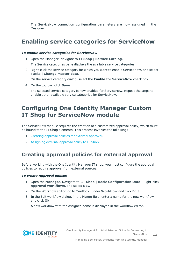The ServiceNow connection configuration parameters are now assigned in the Designer.

### <span id="page-11-0"></span>**Enabling service categories for ServiceNow**

#### *To enable service categories for ServiceNow*

1. Open the Manager. Navigate to **IT Shop** | **Service Catalog**.

The Service categories pane displays the available service categories.

- 2. Right-click the service category for which you want to enable ServiceNow, and select **Tasks** | **Change master data**.
- 3. On the service category dialog, select the **Enable for ServiceNow** check box.
- 4. On the toolbar, click **Save**.

The selected service category is now enabled for ServiceNow. Repeat the steps to enable other available service categories for ServiceNow.

### <span id="page-11-1"></span>**Configuring One Identity Manager Custom IT Shop for ServiceNow module**

The ServiceNow module requires the creation of a customized approval policy, which must be bound to the IT Shop elements. This process involves the following:

- 1. Creating [approval](#page-11-2) policies for external approval.
- <span id="page-11-2"></span>2. [Assigning](#page-12-0) external approval policy to IT Shop.

### **Creating approval policies for external approval**

Before working with the One Identity Manager IT shop, you must configure the approval policies to require approval from external sources.

#### *To create Approval polices*

- 1. Open the **Manager**. Navigate to **IT Shop** | **Basic Configuration Data** . Right-click **Approval workflows**, and select **New**.
- 2. On the Workflow editor, go to **Toolbox**, under **Workflow** and click **Edit**.
- 3. In the Edit workflow dialog, in the **Name** field, enter a name for the new workflow and click **Ok**.

A new workflow with the assigned name is displayed in the workflow editor.

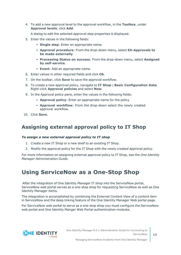4. To add a new approval level to the approval workflow, in the **Toolbox**, under **Approval levels**, click **Add**.

A dialog to edit the selected approval step properties is displayed.

- 5. Enter the values in the following fields:
	- **· Single step**: Enter an appropriate name.
	- <sup>l</sup> **Approval procedure**: From the drop-down menu, select **EX-Approvals to be made externally**.
	- <sup>l</sup> **Processing Status on success**: From the drop-down menu, select **Assigned by self-service**.
	- **Event**: Add an appropriate name.
- 6. Enter values in other required fields and click **Ok**.
- 7. On the toolbar, click **Save** to save the approval workflow.
- 8. To create a new approval policy, navigate to **IT Shop** | **Basic Configuration Data**. Right-click **Approval policies** and select **New**.
- 9. In the Approval policy pane, enter the values in the following fields:
	- **Approval policy**: Enter an appropriate name for the policy
	- **Approval workflow**: From the drop-down select the newly created approval workflow.
- <span id="page-12-0"></span>10. Click **Save**.

### **Assigning external approval policy to IT Shop**

#### *To assign a new external approval policy to IT shop*

- 1. Create a new IT Shop or a new shelf to an existing IT Shop.
- 2. Modify the approval policy for the IT Shop with the newly created approval policy.

For more information on assigning external approval policy to IT Shop, see the *One Identity Manager Administration Guide*.

### <span id="page-12-1"></span>**Using ServiceNow as a One-Stop Shop**

After the integration of One Identity Manager IT shop into the ServiceNow portal, ServiceNow web portal serves as a one-stop shop for requesting ServiceNow as well as One Identity Manager items.

The integration is accomplished by combining the External Content View of a content item in ServiceNow and the deep linking feature of the One Identity Manager Web portal page.

For ServiceNow web portal to serve as a one-stop shop you must configure the ServiceNow web portal and One Identity Manger Web Portal authentication modules.

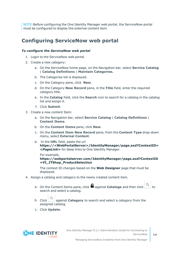NOTE:Before configuring the One Identity Manager web portal, the ServiceNow portal must be configured to display the external content item.

### <span id="page-13-0"></span>**Configuring ServiceNow web portal**

#### *To configure the ServiceNow web portal*

- 1. Login to the ServiceNow web portal.
- 2. Create a new category:
	- a. On the ServiceNow home page, on the Navigation bar, select **Service Catalog** | **Catalog Definitions** | **Maintain Categories.**
	- b. The Categories list is displayed.
	- c. On the Category pane, click **New**.
	- d. On the Category **New Record** pane, in the **Title** field, enter the required category title.
	- e. In the **Catalog** field, click the **Search** icon to search for a catalog in the catalog list and assign it.
	- f. Click **Submit**.
- 3. Create a new content Item:
	- a. On the Navigation bar, select **Service Catalog** | **Catalog Definitions** | **Content Items**.
	- b. On the **Content Items** pane, click **New**.
	- c. On the **Content Item New Record** pane, from the **Content Type** drop-down menu, select **External Content**.
	- d. In the **URL** field, paste the url **https://<WebPortalServer>/IdentityManager/page.axd?ContextID= <***PageLink***>** for deep links to One Identity Manager.

For example, **https://webportalserver.com/IdentityManager/page.axd?ContextID =VI\_ITShop\_ProductSelection**

The context ID changes based on the **Web Designer** page that must be displayed.

- 4. Assign a catalog and category to the newly created content item.
	- a. On the Content Items pane, click **a** against **Catalogs** and then click  $\sim$  to search and select a catalog.
	- b. Click against **Category** to search and select a category from the assigned catalog.
	- c. Click **Update**.



Managing ServiceNow Incidents from One Identity Manager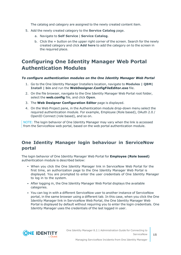The catalog and category are assigned to the newly created content item.

- 5. Add the newly created category to the **Service Catalog** page.
	- a. Navigate to **Self Service** | **Service Catalog**.
	- b. Click the + button on the upper right corner of the screen. Search for the newly created category and click **Add here** to add the category on to the screen in the required place.

### <span id="page-14-0"></span>**Configuring One Identity Manager Web Portal Authentication Modules**

#### *To configure authentication modules on the One Identity Manager Web Portal*

- 1. Go to the One Identity Manager Installers location, navigate to **Modules | QBM| Install | bin** and run the **WebDesigner.ConfigFileEditor.exe** file.
- 2. On the file browser, navigate to the One Identity Manager Web Portal root folder, select the **web.config** file, and click **Open**.
- 3. The **Web Designer Configuration Editor** page is displayed.
- 4. On the Web Project pane, in the Authentication module drop-down menu select the required authentication module. For example, Employee (Role based), OAuth 2.0 / OpenID Connect (role based), and so on.

NOTE: The login behavior of One Identity Manager may vary when the link is accessed from the ServiceNow web portal, based on the web portal authentication module.

### **One Identity Manager login behaviour in ServiceNow portal**

The login behavior of One Identity Manager Web Portal for **Employee (Role based)** authentication module is described below:

- When you click the One Identity Manager link in ServiceNow Web Portal for the first time, an authorization page to the One Identity Manager Web Portal is displayed. You are prompted to enter the user credentials of One Identity Manager to log in to the system.
- After logging in, the One Identity Manager Web Portal displays the available categories.
- You can log in with a different ServiceNow user to another instance of ServiceNow portal, in the same browser using a different tab. In this case, when you click the One Identity Manager link in ServiceNow Web Portal, the One Identity Manager Web Portal is displayed by default without requiring you to enter the login credentials. One Identity Manager uses the credentials of the last logged in user.

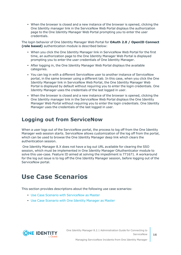• When the browser is closed and a new instance of the browser is opened, clicking the One Identity manager link in the ServiceNow Web Portal displays the authorization page to the One Identity Manager Web Portal prompting you to enter the user credentials.

The login behavior of One Identity Manager Web Portal for **OAuth 2.0 / OpenID Connect (role based)** authentication module is described below:

- When you click the One Identity Manager link in ServiceNow Web Portal for the first time, an authorization page to the One Identity Manager Web Portal is displayed prompting you to enter the user credentials of One Identity Manager.
- After logging in, the One Identity Manager Web Portal displays the available categories.
- You can log in with a different ServiceNow user to another instance of ServiceNow portal, in the same browser using a different tab. In this case, when you click the One Identity Manager link in ServiceNow Web Portal, the One Identity Manager Web Portal is displayed by default without requiring you to enter the login credentials. One Identity Manager uses the credentials of the last logged in user.
- When the browser is closed and a new instance of the browser is opened, clicking the One Identity manager link in the ServiceNow Web Portal displays the One Identity Manager Web Portal without requiring you to enter the login credentials. One Identity Manager uses the credentials of the last logged in user.

### <span id="page-15-0"></span>**Logging out from ServiceNow**

When a user logs out of the ServiceNow portal, the process to log off from the One Identity Manager web session starts. ServiceNow allows customization of the log off from the portal, which can be used to browse the One Identity Manager deep link which clears the authentication session.

One Identity Manager 8.X does not have a log out URL available for clearing the SSO session, which must be implemented in One Identity Manager OAuthenticator module to solve this use-case. Feature ID aimed at solving the impediment is 771671. A workaround for the log out issue is to log off the One Identity Manager session, before logging out of the ServiceNow portal.

## <span id="page-15-1"></span>**Use Case Scenarios**

This section provides descriptions about the following use case scenarios:

- Use Case Scenario with [ServiceNow](#page-16-0) as Master
- Use Case [Scenario](#page-16-1) with One Identity Manager as Master



Managing ServiceNow Incidents from One Identity Manager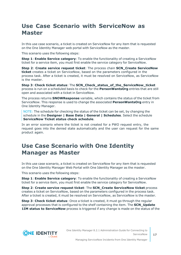## <span id="page-16-0"></span>**Use Case Scenario with ServiceNow as Master**

In this use case scenario, a ticket is created on ServiceNow for any item that is requested on the One Identity Manager web portal with ServiceNow as the master.

This scenario uses the following steps:

**Step 1**: **Enable Service category**: To enable the functionality of creating a ServiceNow ticket for a service item, you must first enable the service category for ServiceNow.

**Step 2**: **Create service request ticket**: The process chain **SCN\_Create ServiceNow ticket** creates a ticket on ServiceNow, based on the parameters configured in the process task. After a ticket is created, it must be resolved on ServiceNow, as ServiceNow is the master.

**Step 3**: **Check ticket status**: The **SCN\_Check\_status\_of\_the\_ServiceNow\_ticket** process is run on a scheduled basis to check for the **PersonWantsOrg** entries that are still open and associated with a ticket in ServiceNow.

The process returns **SNOWResponse** variable, which contains the status of the ticket from ServiceNow. This response is used to change the associated **PersonWantsOrg** entry in One Identity Manager.

NOTE: The schedule for checking the status of the ticket can be set, by changing the schedule in the **Designer | Base Data | General | Schedules**. Select the schedule **ServiceNow Ticket status check schedule**.

In an error scenario where the ticket is not created for a PWO request entry, the request goes into the denied state automatically and the user can request for the same product again.

### <span id="page-16-1"></span>**Use Case Scenario with One Identity Manager as Master**

In this use case scenario, a ticket is created on ServiceNow for any item that is requested on the One Identity Manager Web Portal with One Identity Manager as the master.

This scenario uses the following steps:

**Step 1**: **Enable Service category**: To enable the functionality of creating a ServiceNow ticket for a service item, you must first enable the service category for ServiceNow.

**Step 2**: **Create service request ticket**: The **SCN\_Create ServiceNow ticket** process creates a ticket on ServiceNow, based on the parameters configured in the process task. After a ticket is created, it must be resolved on ServiceNow, as ServiceNow is the master.

**Step 3**: **Check ticket status**: Once a ticket is created, it must go through the regular approval processes that is configured to the shelf containing the item. The **SCN\_Update 1IM status to ServiceNow** process is triggered if any change is made on the status of the



**17**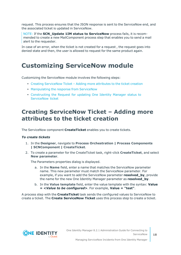request. This process ensures that the JSON response is sent to the ServiceNow end, and the associated ticket is updated in ServiceNow.

NOTE: If the **SCN\_Update 1IM status to ServiceNow** process fails, it is recommended to create a new MailComponent process step that enables you to send a mail alert to the requester.

In case of an error, when the ticket is not created for a request, the request goes into denied state and then, the user is allowed to request for the same product again.

## <span id="page-17-0"></span>**Customizing ServiceNow module**

Customizing the ServiceNow module involves the following steps:

- Creating [ServiceNow](#page-17-1) Ticket Adding more attributes to the ticket creation
- [Manipulating](#page-18-0) the response from ServiceNow
- <sup>l</sup> [Constructing](#page-23-0) the Request for updating One Identity Manager status to [ServiceNow](#page-23-0) ticket

### <span id="page-17-1"></span>**Creating ServiceNow Ticket – Adding more attributes to the ticket creation**

The ServiceNow component **CreateTicket** enables you to create tickets.

#### *To create tickets*

- 1. In the **Designer**, navigate to **Process Orchestration | Process Components | SCNComponent | CreateTicket**.
- 2. To create a parameter for the CreateTicket task, right-click **CreateTicket**, and select **New parameter**.

The Parameters properties dialog is displayed.

- a. In the **Name** field, enter a name that matches the ServiceNow parameter name. This new parameter must match the ServiceNow parameter. For example, if you want to add the ServiceNow parameter **resolved\_by**, provide the name for the new One Identity Manager parameter as **resolved\_by**.
- b. In the **Value template** field, enter the value template with the syntax: **Value = <***Value to be configured***>**. For example, **Value = "test"**.

A process step with the **CreateTicket** task sends the configured values to ServiceNow to create a ticket. The **Create ServiceNow Ticket** uses this process step to create a ticket.

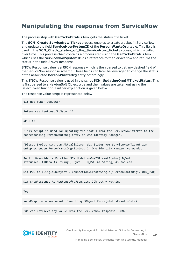### <span id="page-18-0"></span>**Manipulating the response from ServiceNow**

The process step with **GetTicketStatus** task gets the status of a ticket.

The **SCN\_Create ServiceNow Ticket** process enables to create a ticket in ServiceNow and update the field **ServiceNowSystemID** of the **PersonWantsOrg** table. This field is used in the **SCN\_Check\_status\_of\_the\_ServiceNow\_ticket** process, which is called over time. This process chain contains a process step using the **GetTicketStatus** task which uses the **ServiceNowSystemID** as a reference to the ServiceNow and returns the status in the field SNOW Response.

SNOW Response value is a JSON response which is then parsed to get any desired field of the ServiceNow response schema. These fields can later be leveraged to change the status of the associated **PersonWantsOrg** entry accordingly.

This SNOW Response value is used in the script **SCN\_UpdatingOneIMTicketStatus**. This is first parsed to a NewtonSoft Object type and then values are taken out using the SelectToken function. Further explanation is given below.

The response value script is represented below:

#If Not SCRIPTDEBUGGER

References Newtonsoft.Json.dll

#End If

'This script is used for updating the status from the ServiceNow ticket to the corresponding PersonWantsOrg entry in One Identity Manager.

'Dieses Skript wird zum Aktualisieren des Status vom ServiceNow-Ticket zum entsprechenden PersonWantsOrg-Eintrag in One Identity Manager verwendet.

Public Overridable Function SCN\_UpdatingOneIMTicketStatus( ByVal statusResultsData As String , ByVal UID\_PWO As String) As Boolean

Dim PWO As ISingleDbObject = Connection.CreateSingle("PersonWantsOrg", UID\_PWO)

Dim snowResponse As Newtonsoft.Json.Linq.JObject = Nothing

Try

snowResponse = Newtonsoft.Json.Linq.JObject.Parse(statusResultsData)

'We can retrieve any value from the ServiceNow Response JSON.



One Identity Manager 8.2.1 Administration Guide for Connecting to **ServiceNow** 

Managing ServiceNow Incidents from One Identity Manager

**19**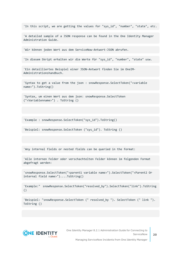'In this script, we are getting the values for "sys\_id", "number", "state", etc.

'A detailed sample of a JSON response can be found in the One Identity Manager Administration Guide.

'Wir können jeden Wert aus dem ServiceNow-Antwort-JSON abrufen.

'In diesem Skript erhalten wir die Werte für "sys\_id", "number", "state" usw.

'Ein detailliertes Beispiel einer JSON-Antwort finden Sie im OneIM-Administrationshandbuch.

'Syntax to get a value from the json : snowResponse.SelectToken("<variable name>").ToString()

'Syntax, um einen Wert aus dem json: snowResponse.SelectToken ("<Variablenname>") . ToString ()

'Example : snowResponse.SelectToken("sys\_id").ToString()

'Beispiel: snowResponse.SelectToken ("sys\_id"). ToString ()

'Any internal fields or nested fields can be queried in the format:

'Alle internen Felder oder verschachtelten Felder können im folgenden Format abgefragt werden:

'snowResponse.SelectToken("<parent1 variable name>").SelectToken("<Parent2 Or internal field name>")....ToString()

'Example:" snowResponse.SelectToken("resolved\_by").SelectToken("link").ToString ()

'Beispiel: "snowResponse.SelectToken (" resolved\_by "). SelectToken (" link "). ToString ()

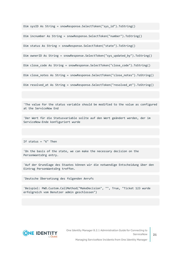Dim sysID As String = snowResponse.SelectToken("sys\_id").ToString()

Dim incnumber As String = snowResponse.SelectToken("number").ToString()

Dim status As String = snowResponse.SelectToken("state").ToString()

Dim ownerID As String = snowResponse.SelectToken("sys\_updated\_by").ToString()

Dim close code As String = snowResponse.SelectToken("close code").ToString()

Dim close notes As String = snowResponse.SelectToken("close notes").ToString()

Dim resolved at As String = snowResponse.SelectToken("resolved at").ToString()

'The value for the status variable should be modified to the value as configured at the ServiceNow End

'Der Wert für die Statusvariable sollte auf den Wert geändert werden, der im ServiceNow-Ende konfiguriert wurde

If status = "6" Then

'On the basis of the state, we can make the necessary decision on the PersonWantsOrg entry.

'Auf der Grundlage des Staates können wir die notwendige Entscheidung über den Eintrag PersonWantsOrg treffen.

'Deutsche Übersetzung des folgenden Anrufs

'Beispiel: PWO.Custom.CallMethod("MakeDecision", "", True, "Ticket 123 wurde erfolgreich vom Benutzer admin geschlossen")



Managing ServiceNow Incidents from One Identity Manager

**21**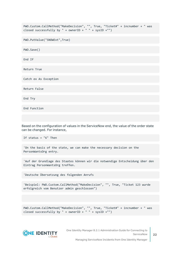PWO.Custom.CallMethod("MakeDecision", "", True, "Ticket#" + incnumber + " was closed successfully by " + ownerID + " " + sysID +"")

PWO.PutValue("SNOWExt",True)

PWO.Save()

End If

Return True

Catch ex As Exception

Return False

End Try

End Function

Based on the configuration of values in the ServiceNow end, the value of the order state can be changed. For instance,

If status = "6" Then

'On the basis of the state, we can make the necessary decision on the PersonWantsOrg entry.

'Auf der Grundlage des Staates können wir die notwendige Entscheidung über den Eintrag PersonWantsOrg treffen.

'Deutsche Übersetzung des folgenden Anrufs

'Beispiel: PWO.Custom.CallMethod("MakeDecision", "", True, "Ticket 123 wurde erfolgreich vom Benutzer admin geschlossen")

PWO.Custom.CallMethod("MakeDecision", "", True, "Ticket#" + incnumber + " was closed successfully by " + ownerID + " " + sysID +"")



One Identity Manager 8.2.1 Administration Guide for Connecting to ServiceNow

Managing ServiceNow Incidents from One Identity Manager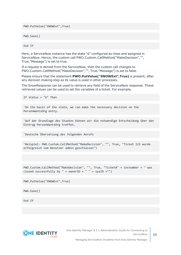PWO.PutValue("SNOWExt",True)

PWO.Save()

End If

Here, a ServiceNow instance has the state "6" configured as close and assigned in ServiceNow. Hence, the custom call PWO.Custom.CallMethod("MakeDecision","", True,"Message") is set to true.

If a request is denied from the ServiceNow, then the custom call changes to PWO.Custom.CallMethod("MakeDecision","", True,"Message") is set to false.

Please ensure that the statement **PWO.PutValue("SNOWExt",True)** is present, after any decision making step as its value is used in other processes.

The SnowResponse can be used to retrieve any field of the ServiceNow response. These retrieved values can be used to set the variables of a ticket. For example,

```
If status = "6" Then
```
'On the basis of the state, we can make the necessary decision on the PersonWantsOrg entry.

'Auf der Grundlage des Staates können wir die notwendige Entscheidung über den Eintrag PersonWantsOrg treffen.

'Deutsche Übersetzung des folgenden Anrufs

'Beispiel: PWO.Custom.CallMethod("MakeDecision", "", True, "Ticket 123 wurde erfolgreich vom Benutzer admin geschlossen")

PWO.Custom.CallMethod("MakeDecision", "", True, "Ticket#" + incnumber + " was closed successfully by " + ownerID + " " + sysID +"")

PWO.PutValue("SNOWExt",True)

PWO.Save()

End If



One Identity Manager 8.2.1 Administration Guide for Connecting to ServiceNow

Managing ServiceNow Incidents from One Identity Manager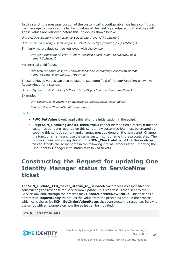In this script, the message portion of the custom call is configurable. We have configured the message to display some text and values of the field "sys\_udpated\_by" and "sys\_id". These values are retrieved before this If block as shown below:

*Dim sysID As String = snowResponse.SelectToken("sys\_id").ToString()*

*Dim ownerID As String = snowResponse.SelectToken("sys\_updated\_by").ToString()*

Similarly more values can be retrieved with the syntax,

<sup>l</sup> *Dim testPropName As type = snowResponse.SelectToken("ServiceNow field name").ToString()*

For internal child fields,

<sup>l</sup> *Dim testPropName As type = snowResponse.SelectToken("ServiceNow parent name").SelectToken(child1)….ToString()*

These retrieved values can also be used to set some field of PersonWantsOrg entry like ReasonHead for instance.

General Syntax: *PWO.PutValue("<PersonWantsOrg field name>",testPropName)*

Example:

- <sup>l</sup> *Dim closenotes As String = snowResponse.SelectToken("close\_notes")*
- <sup>l</sup> *PWO.PutValue("ReasonHead", closenotes )*

NOTE:

- **PWO.PutValue** is only applicable after the initialization in the script.
- **Script SCN\_UpdatingOneIMTicketStatus** cannot be modified directly. If further customizations are required on this script, new custom scripts must be created by copying this script's content and changes must be done on the new script. Change the function's name and use the same custom script name in the process step. The process chain referencing this script is **SCN\_Check status of the ServiceNow ticket**. Modify the script name in the following internal process step: Updating the One Identity Manager with status of resolved tickets.

### <span id="page-23-0"></span>**Constructing the Request for updating One Identity Manager status to ServiceNow ticket**

The **SCN\_Update\_1IM\_ticket\_status\_to\_ServiceNow** process is responsible for constructing the response for ServiceNow update. This response is then sent to the ServiceNow end, through the process task **UpdateServiceNowStatus**. This task has a parameter **RequestBody** that takes the value from the preceding step, in the process, which calls the script **SCN\_GetOrderValueStatus** that constructs the response. Below is the script with an example on how the script can be modified.

#If Not SCRIPTDEBUGGER

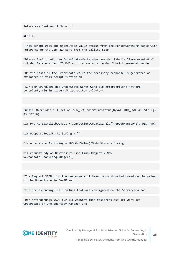References Newtonsoft.Json.dll

#End If

'This script gets the OrderState value status from the PersonWantsOrg table with reference of the UID PWO sent from the calling step

'Dieses Skript ruft den OrderState-Wertstatus aus der Tabelle "PersonWantsOrg" mit der Referenz der UID PWO ab, die vom aufrufenden Schritt gesendet wurde

'On the basis of the OrderState value the necessary response is generated as explained in this script further on

'Auf der Grundlage des OrderState-Werts wird die erforderliche Antwort generiert, wie in diesem Skript weiter erläutert

Public Overridable Function SCN GetOrderValueStatus(ByVal UID PWO As String) As String

Dim PWO As ISingleDbObject = Connection.CreateSingle("PersonWantsOrg", UID\_PWO)

Dim responseBodyStr As String = ""

Dim orderstate As String = PWO.GetValue("OrderState").String

Dim requestBody As Newtonsoft.Json.Linq.JObject = New Newtonsoft.Json.Linq.JObject()

'The Request JSON for the response will have to constructed based on the value of the OrderState in OneIM and

'the corresponding field values that are configured on the ServiceNow end.

'Der Anforderungs-JSON für die Antwort muss basierend auf dem Wert des OrderState in One Identity Manager und

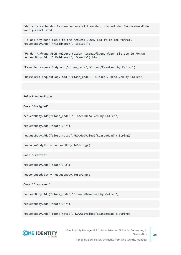'den entsprechenden Feldwerten erstellt werden, die auf dem ServiceNow-Ende konfiguriert sind.

'To add any more fiels to the request JSON, add it in the format, requestBody.Add("<fieldname>","<Value>")

'Um der Anfrage JSON weitere Felder hinzuzufügen, fügen Sie sie im Format requestBody.Add ("<Feldname>", "<Wert>") hinzu.

'Example: requestBody.Add("close\_code","Closed/Resolved by Caller")

'Beispiel: requestBody.Add ("close code", "Closed / Resolved by Caller")

Select orderState

Case "Assigned"

requestBody.Add("close\_code","Closed/Resolved by Caller")

requestBody.Add("state","7")

requestBody.Add("close\_notes",PWO.GetValue("ReasonHead").String)

responseBodyStr = requestBody.ToString()

Case "Granted"

requestBody.Add("state","2")

responseBodyStr = requestBody.ToString()

Case "Dismissed"

requestBody.Add("close\_code","Closed/Resolved by Caller")

requestBody.Add("state","7")

requestBody.Add("close\_notes",PWO.GetValue("ReasonHead").String)



One Identity Manager 8.2.1 Administration Guide for Connecting to ServiceNow

Managing ServiceNow Incidents from One Identity Manager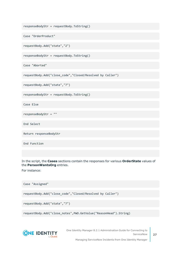```
responseBodyStr = requestBody.ToString()
```

```
Case "OrderProduct"
```

```
requestBody.Add("state","2")
```
responseBodyStr = requestBody.ToString()

Case "Aborted"

```
requestBody.Add("close_code","Closed/Resolved by Caller")
```
requestBody.Add("state","7")

responseBodyStr = requestBody.ToString()

Case Else

responseBodyStr = ""

End Select

Return responseBodyStr

End Function

In the script, the **Cases** sections contain the responses for various **OrderState** values of the **PersonWantsOrg** entries.

For instance:

Case "Assigned"

requestBody.Add("close\_code","Closed/Resolved by Caller")

```
requestBody.Add("state","7")
```
requestBody.Add("close\_notes",PWO.GetValue("ReasonHead").String)



One Identity Manager 8.2.1 Administration Guide for Connecting to ServiceNow

Managing ServiceNow Incidents from One Identity Manager

**27**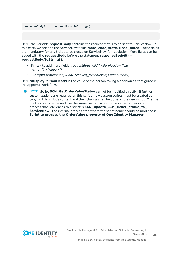responseBodyStr = requestBody.ToString()

Here, the variable **requestBody** contains the request that is to be sent to ServiceNow. In this case, we are add the ServiceNow fields **close\_code**, **state**, **close\_notes**. These fields are mandatory for any ticket to be closed on ServiceNow for resolution. More fields can be added with the **requestBody** before the statement **responseBodyStr = requestBody.ToString()**.

- <sup>l</sup> Syntax to add more fields: *requestBody.Add("<ServiceNow field name>","<Value>")*
- <sup>l</sup> Example: *requestBody.Add("resoved\_by",\$DisplayPersonHead\$)*

Here **\$DisplayPersonHead\$** is the value of the person taking a decision as configured in the approval work flow.

6 NOTE: Script **SCN\_GetOrderValueStatus** cannot be modified directly. If further customizations are required on this script, new custom scripts must be created by copying this script's content and then changes can be done on the new script. Change the function's name and use the same custom script name in the process step. process that references this script is **SCN\_Update\_1IM\_ticket\_status\_to\_ ServiceNow**. The internal process step where the script name should be modified is **Script to process the OrderValue property of One Identity Manager**.

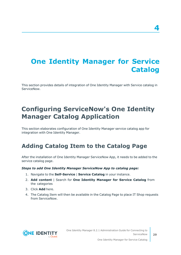# <span id="page-28-0"></span>**One Identity Manager for Service Catalog**

This section provides details of integration of One Identity Manager with Service catalog in ServiceNow.

# <span id="page-28-1"></span>**Configuring ServiceNow's One Identity Manager Catalog Application**

This section elaborates configuration of One Identity Manager service catalog app for integration with One Identity Manager.

### <span id="page-28-2"></span>**Adding Catalog Item to the Catalog Page**

After the installation of One Identity Manager ServiceNow App, it needs to be added to the service catalog page.

#### *Steps to add One Identity Manager ServiceNow App to catalog page:*

- 1. Navigate to the **Self-Service** | **Service Catalog** in your instance.
- 2. **Add content** | Search for **One Identity Manager for Service Catalog** from the categories
- 3. Click **Add** here.
- 4. The Catalog Item will then be available in the Catalog Page to place IT Shop requests from ServiceNow.

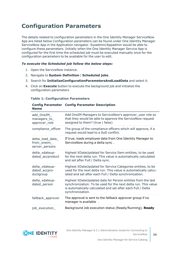## <span id="page-29-0"></span>**Configuration Parameters**

The details related to configuration parameters in the One Identity Manager ServiceNow App are listed below Configuration parameters can be found under One Identity Manager ServiceNow App in the Application navigator. Sysadmin/Appadmin would be able to configure these parameters. Initially when the One Identity Manager Service App is configured for the first time the scheduled job must be executed manually once for the configuration parameters to be available for the user to edit.

#### *To execute the Scheduled job follow the below steps:*

- 1. Open the ServiceNow instance.
- 2. Navigate to **System Definition** | **Scheduled jobs**.
- 3. Search for **InitializeConfigurationParametersAndLoadData** and select it.
- 4. Click on **Execute** button to execute the background job and initialize the configuration parameters

#### **Table 1: Configuration Parameters**

| <b>Name</b>                                       | <b>Config Parameter Config Parameter Description</b>                                                                                                                                                             |
|---------------------------------------------------|------------------------------------------------------------------------------------------------------------------------------------------------------------------------------------------------------------------|
| add_OneIM_<br>managers_to_<br>approver_role       | Add OneIM Managers to ServiceNow's approver_user role so<br>that they would be able to approve the ServiceNow request<br>assigned to them? (true   false)                                                        |
| compliance_officer                                | The group of the compliance officers which will approve, if a<br>request would lead to a SoD conflict.                                                                                                           |
| delta_load_data_<br>from_oneim_<br>server_persons | If true, loads employee data from One Identity Manager to<br>ServiceNow during a delta sync.                                                                                                                     |
| delta_xdateup-<br>dated_accproduct                | Highest XDateUpdated for Service Item entities, to be used<br>for the next delta run. This value is automatically calculated<br>and set after Full / Delta sync.                                                 |
| delta_xdateup-<br>dated_accpro-<br>ductgroup      | Highest XDateUpdated for Service Categories entities, to be<br>used for the next delta run. This value is automatically calcu-<br>lated and set after each Full / Delta synchronization.                         |
| delta xdateup-<br>dated_person                    | Highest XDateUpdated date for Person entities from the last<br>synchronization. To be used for the next delta run. This value<br>is automatically calculated and set after each Full / Delta<br>synchronization. |
| fallback_approver                                 | The approval is sent to the fallback approver group if no<br>manager is available.                                                                                                                               |
| job_execution_                                    | Background Job execution status (Ready/Running). Ready                                                                                                                                                           |

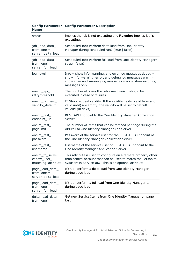|             | <b>Config Parameter Config Parameter Description</b> |  |
|-------------|------------------------------------------------------|--|
| <b>Name</b> |                                                      |  |

| status                                               | implies the job is not executing and Running implies job is<br>executing.                                                                                                                                |
|------------------------------------------------------|----------------------------------------------------------------------------------------------------------------------------------------------------------------------------------------------------------|
| job_load_data_<br>from_oneim_<br>server delta load   | Scheduled Job: Perform delta load from One Identity<br>Manager during scheduled run? (true   false)                                                                                                      |
| job_load_data_<br>from_oneim_<br>server full load    | Scheduled Job: Perform full load from One Identity Manager?<br>(true   false)                                                                                                                            |
| log level                                            | Info $=$ show info, warning, and error log messages debug $=$<br>show info, warning, error, and debug log messages warn =<br>show error and warning log messages error = show error log<br>messages only |
| oneim_api_<br>retrythreshold                         | The number of times the retry mechanism should be<br>executed in case of failures.                                                                                                                       |
| oneim_request_<br>validity_default                   | IT Shop request validity. If the validity fields (valid from and<br>valid until) are empty, the validity will be set to default<br>validity (in days).                                                   |
| oneim_rest_<br>endpoint_url                          | REST API Endpoint to the One Identity Manager Application<br>Server                                                                                                                                      |
| oneim_rest_<br>pagelimit                             | The number of items that can be fetched per page during the<br>API call to One Identity Manager App Server.                                                                                              |
| oneim_rest_<br>password                              | Password of the service user for the REST API's Endpoint of<br>the One Identity Manager Application Server.                                                                                              |
| oneim_rest_<br>username                              | Username of the service user of REST API's Endpoint to the<br>One Identity Manager Application Server                                                                                                    |
| oneim_to_servi-<br>cenow_user_<br>matching_attribute | This attribute is used to configure an alternate property other<br>than central account that can be used to match the Person to<br>sysusers in ServiceNow. This is an optional attribute.                |
| page_load_data_<br>from_oneim_<br>server_delta_load  | If true, perform a delta load from One Identity Manager<br>during page load.                                                                                                                             |
| page_load_data_<br>from_oneim_<br>server_full_load   | If true, perform a full load from One Identity Manager to<br>during page load.                                                                                                                           |
| delta_load_data_<br>from oneim                       | Get new Service Items from One Identity Manager on page<br>load.                                                                                                                                         |

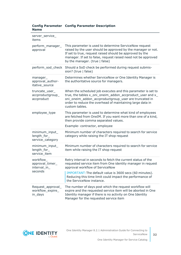| server_service_<br>items                          |                                                                                                                                                                                                                                                                                       |
|---------------------------------------------------|---------------------------------------------------------------------------------------------------------------------------------------------------------------------------------------------------------------------------------------------------------------------------------------|
| perform_manager_<br>approval                      | This parameter is used to determine ServiceNow request<br>raised by the user should be approved by the manager or not.<br>If set to true, request raised should be approved by the<br>manager. If set to false, request raised need not be approved<br>by the manager. (true   false) |
|                                                   | perform_sod_check Should a SoD check be performed during request submis-<br>sion? (true   false)                                                                                                                                                                                      |
| manager_<br>approval_author-<br>itative_source    | Determines whether ServiceNow or One Identity Manager is<br>the authoritative source for managers.                                                                                                                                                                                    |
| truncate_user_<br>accproductgroup_<br>accproduct  | When the scheduled job executes and this parameter is set to<br>true, the tables x_oni_oneim_addon_accproduct_user and x_<br>oni_oneim_addon_accproductgroup_user are truncated in<br>order to reduce the overhead of maintaining large data in<br>custom tables.                     |
| employee_type                                     | This parameter is used to determine what kind of employees<br>are fetched from OneIM. If you want more than one of a kind,<br>then provide comma separated values.                                                                                                                    |
|                                                   | Example-contractor, employee                                                                                                                                                                                                                                                          |
| minimum_input_<br>length_for_<br>service_category | Minimum number of characters required to search for service<br>category while raising the IT shop request                                                                                                                                                                             |
| minimum_input_<br>length_for_<br>service item     | Minimum number of characters required to search for service<br>item while raising the IT shop request                                                                                                                                                                                 |
| workflow_<br>approval_timer_<br>interval_in_      | Retry interval in seconds to fetch the current status of the<br>requested service item from One identity manager in request<br>approval workflow of ServiceNow                                                                                                                        |
| seconds                                           | IMPORTANT: The default value is 3600 secs (60 minutes).<br>Reducing this time limit could impact the performance of<br>the ServiceNow instance.                                                                                                                                       |
| Request_approval_<br>workflow_expire_<br>in_days  | The number of days post which the request workflow will<br>expire and the requested service item will be aborted in One<br>Identity manager if there is no activity on One Identity<br>Manager for the requested service item                                                         |

#### **Config Parameter Config Parameter Description Name**

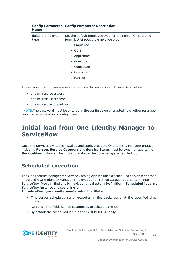| <b>Name</b>               |                                                                                                  |
|---------------------------|--------------------------------------------------------------------------------------------------|
| default_employee_<br>type | Set the default Employee type for the Person OnBoarding<br>form. List of possible employee type: |
|                           | • Employee                                                                                       |
|                           | • Other                                                                                          |
|                           | • Apprentice                                                                                     |
|                           | • Consultant                                                                                     |
|                           | • Contractor                                                                                     |
|                           | • Customer                                                                                       |
|                           | • Partner                                                                                        |
|                           |                                                                                                  |

These configuration parameters are required for importing data into ServiceNow:

**Config Parameter Config Parameter Description**

- oneim rest password
- oneim rest username
- oneim rest endpoint url

NOTE:The password must be entered in the config value encrypted field, other parameters can be entered into config value.

## <span id="page-32-0"></span>**Initial load from One Identity Manager to ServiceNow**

Once the ServiceNow App is installed and configured, the One Identity Manager entities including **Person**, **Service Category** and **Service Items** must be synchronized to the **ServiceNow** instance. The import of data can be done using a scheduled job.

### <span id="page-32-1"></span>**Scheduled execution**

The One Identity Manager for Service Catalog App includes a scheduled server script that imports the One Identity Manager Employees and IT Shop Categories and Items into ServiceNow. You can find this by navigating to **System Definition** | **Scheduled jobs** in a ServiceNow instance and searching for

#### **InitializeConfigurationParametersAndLoadData**.

- This server scheduled script executes in the background at the specified time interval.
- Run and Time fields can be customized to schedule the job.
- By default the scheduled job runs at 12:00:00 GMT daily.



One Identity Manager 8.2.1 Administration Guide for Connecting to ServiceNow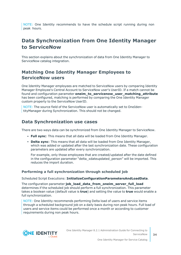NOTE: One Identity recommends to have the schedule script running during non peak hours.

### <span id="page-33-0"></span>**Data Synchronization from One Identity Manager to ServiceNow**

This section explains about the synchronization of data from One Identity Manager to ServiceNow catalog integration.

### **Matching One Identity Manager Employees to ServiceNow users**

One Identity Manager employees are matched to ServiceNow users by comparing Identity Manager Employee's Central Account to ServiceNow user's UserID. If a match cannot be found and configuration parameter **oneim\_to\_servicenow\_user\_matching\_attribute** has been configured, matching is performed by comparing the One Identity Manager custom property to the ServiceNow UserID.

NOTE: The source field of the ServiceNow user is automatically set to OneIdentityManager during Synchronization. This should not be changed.

### **Data Synchronization use cases**

There are two ways data can be synchronized from One Identity Manager to ServiceNow.

- <sup>l</sup> **Full sync**: This means that all data will be loaded from One Identity Manager.
- <sup>l</sup> **Delta sync**: This means that all data will be loaded from One Identity Manager, which was added or updated after the last synchronization date. These configuration parameters are updated after every synchronization.

For example, only those employees that are created/updated after the date defined in the configuration parameter "delta xdateupdated person" will be imported. This reduces the import duration.

#### **Performing a full synchronization through scheduled job**

Scheduled Script Executions: **InitializeConfigurationParametersAndLoadData**.

The configuration parameter **job\_load\_data\_from\_oneim\_server\_full\_load** determines if the scheduled job should perform a full synchronization. This parameter takes a boolean value (default value is **true**) and setting the value to **true** would enable a full synchronization.

NOTE: One Identity recommends performing Delta load of users and service items through a scheduled background job on a daily basis during non peak hours. Full load of users and service items could be performed once a month or according to customer requirements during non peak hours.

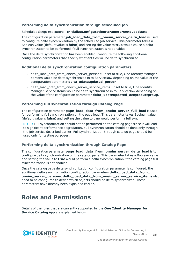#### **Performing delta synchronization through scheduled job**

#### Scheduled Script Executions: **InitializeConfigurationParametersAndLoadData**.

The configuration parameter **job\_load\_data\_from\_oneim\_server\_delta\_load** is used to configure delta synchronization by the scheduled job service. This parameter takes a Boolean value (default value is **false**) and setting the value to **true** would cause a delta synchronization to be performed if full synchronization is not enabled.

Once the delta synchronization has been enabled, configure the following additional configuration parameters that specify what entities will be delta synchronized

#### **Additional delta synchronization configuration parameters**

- delta\_load\_data\_from\_oneim\_server\_persons: If set to true, One Identity Manager persons would be delta synchronized in to ServiceNow depending on the value of the configuration parameter **delta\_xdateupdated\_person**.
- delta\_load\_data\_from\_oneim\_server\_service\_items: If set to true, One Identity Manager Service Items would be delta synchronized in to ServiceNow depending on the value of the configuration parameter **delta\_xdateupdated\_accproductgroup**.

#### **Performing full synchronization through Catalog Page**

The configuration parameter **page\_load\_data\_from\_oneim\_server\_full\_load** is used for performing full synchronization on the page load. This parameter takes Boolean value (default value is **false**) and setting the value to true would perform a full sync.

NOTE: Full synchronization should not be performed on the catalog page since it will lead to significant performance degradation. Full synchronization should be done only through the job service described earlier. Full synchronization through catalog page should be used only for testing purposes.

#### **Performing delta synchronization through Catalog Page**

The configuration parameter **page\_load\_data\_from\_oneim\_server\_delta\_load** is to configure delta synchronization on the catalog page. This parameter takes a Boolean value and setting the value to **true** would perform a delta synchronization if the catalog page full synchronization is not enabled.

Once the catalog page delta synchronization configuration parameter is configured, the additional delta synchronization configuration parameters **delta\_load\_data\_from\_ oneim\_server\_persons**, **delta\_load\_data\_from\_oneim\_server\_service\_items** also need to be configured to define which objects should be delta synchronized. These parameters have already been explained earlier.

### <span id="page-34-0"></span>**Roles and Permissions**

Details of the roles that are currently supported by the **One Identity Manager for Service Catalog** App are explained below.

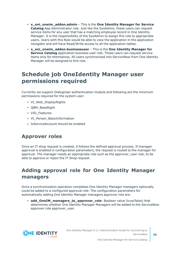- <sup>l</sup> **x\_oni\_oneim\_addon.admin** This is the **One Identity Manager for Service Catalog** App Administrator role. Just like the SysAdmin, these users can request service items for any user that has a matching employee record in One Identity Manager. It is the responsibility of the SysAdmin to assign this role to appropriate users. Users with this Role would be able to view the application in the application navigator and will have Read/Write access to all the application tables.
- <sup>l</sup> **x\_oni\_oneim\_addon.businessuser** This is the **One Identity Manager for Service Catalog** application business user role. These users can request service items only for themselves. All users synchronized into ServiceNow from One Identity Manager will be assigned to this role.

## <span id="page-35-0"></span>**Schedule job OneIdentity Manager user permissions required**

Currently we support DialogUser authentication module and following are the minimum permissions required for the system user:

- VI Web DisplayRights
- QBM\_BaseRight
- VID Features
- VI Person BasicInformation
- IsServiceAccount should be enabled

### <span id="page-35-1"></span>**Approver roles**

Once an IT shop request is created, it follows the defined approval process. If manager approval is enabled in configuration parameters, the request is routed to the manager for approval. The manager needs an appropriate role such as the approver user role, to be able to approve or reject the IT Shop request.

### <span id="page-35-2"></span>**Adding approval role for One Identity Manager managers**

Once a synchronization operation completes One Identity Manager managers optionally could be added to a configured approval role. The configuration parameters for automatically adding One Identity Manager managers approver role are:

• **add\_OneIM\_managers\_to\_approver\_role**: Boolean value (true/false) that determines whether One Identity Manager Managers will be added to the ServiceNow approver role approver user.

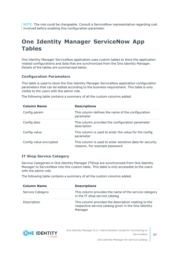NOTE: The role could be chargeable. Consult a ServiceNow representative regarding cost involved before enabling this configuration parameter.

## <span id="page-36-0"></span>**One Identity Manager ServiceNow App Tables**

One Identity Manager ServiceNow application uses custom tables to store the application related configurations and data that are synchronized from the One Identity Manager. Details of the tables are summarized below.

#### **Configuration Parameters**

This table is used to store the One Identity Manager ServiceNow application configuration parameters that can be edited according to the business requirement. This table is only visible to the users with the admin role.

The following table contains a summary of all the custom columns added.

| <b>Column Name</b>     | <b>Descriptions</b>                                                                       |
|------------------------|-------------------------------------------------------------------------------------------|
| Config param           | This column defines the name of the configuration<br>parameter                            |
| Config desc            | This column provides the configuration parameter<br>description                           |
| Config value           | This column is used to enter the value for the config<br>parameter                        |
| Config value encrypted | This column is used to enter sensitive data for security<br>reasons. For example password |

#### **IT Shop Service Category**

Service Categories in One Identity Manager ITShop are synchronized from One Identity Manager to ServiceNow into this custom table. This table is only accessible to the users with the admin role.

The following table contains a summary of all the custom columns added.

| <b>Column Name</b>      | <b>Descriptions</b>                                                                                                     |
|-------------------------|-------------------------------------------------------------------------------------------------------------------------|
| <b>Service Category</b> | This column provides the name of the service category<br>in the IT shop service catalog                                 |
| Description             | This column provides the description relating to the<br>respective service catalog given in the One Identity<br>Manager |

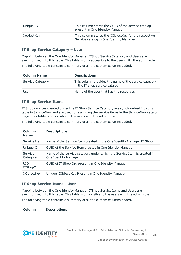| Unique ID  | This column stores the GUID of the service catalog<br>present in One Identity Manager           |
|------------|-------------------------------------------------------------------------------------------------|
| XobjectKey | This column stores the XObjectKey for the respective<br>Service catalog in One Identity Manager |

#### **IT Shop Service Category – User**

Mapping between the One Identity Manager ITShop ServiceCategory and Users are synchronized into this table. This table is only accessible to the users with the admin role.

The following table contains a summary of all the custom columns added.

| <b>Column Name</b>      | <b>Descriptions</b>                                                                     |
|-------------------------|-----------------------------------------------------------------------------------------|
| <b>Service Category</b> | This column provides the name of the service category<br>in the IT shop service catalog |
| User                    | Name of the user that has the resources                                                 |

#### **IT Shop Service Items**

IT Shop services created under the IT Shop Service Category are synchronized into this table in ServiceNow and are used for assigning the service items in the ServiceNow catalog page. This table is only visible to the users with the admin role.

The following table contains a summary of all the custom columns added.

| Column<br><b>Name</b>   | <b>Descriptions</b>                                                                             |
|-------------------------|-------------------------------------------------------------------------------------------------|
| Service Item            | Name of the Service Item created in the One Identity Manager IT Shop                            |
| Unique ID               | GUID of the Service Item created in One Identity Manager                                        |
| Service<br>Category     | Name of the service category under which the Service Item is created in<br>One Identity Manager |
| UID<br><b>ITShopOrg</b> | GUID of IT Shop Org present in One Identity Manager                                             |
| XObjectKey              | Unique XObject Key Present in One Identity Manager                                              |

#### **IT Shop Service Items - User**

Mapping between the One Identity Manager ITShop ServiceItems and Users are synchronized into this table. This table is only visible to the users with the admin role.

The following table contains a summary of all the custom columns added.

**Column Descriptions**

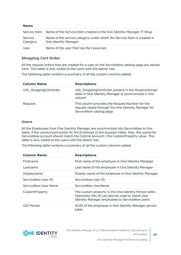| <b>Name</b>         |                                                                                                 |
|---------------------|-------------------------------------------------------------------------------------------------|
|                     | Service Item Name of the Service Item created in the One Identity Manager IT Shop               |
| Service<br>Category | Name of the service category under which the Service Item is created in<br>One Identity Manager |
| User                | Name of the user that has the resources                                                         |

#### **Shopping Cart Order**

All the request orders that are created for a user on the ServiceNow catalog page are stored here. This table is only visible to the users with the admin role.

The following table contains a summary of all the custom columns added.

| <b>Column Name</b>    | <b>Descriptions</b>                                                                                                               |
|-----------------------|-----------------------------------------------------------------------------------------------------------------------------------|
| UID_ShoppingCartOrder | UID_ShoppingCartOrder present in the ShopCartOrder<br>table in One Identity Manager is synchronized in this<br>column             |
| Request               | This column provides the Request Number for the<br>request raised through the One Identity Manager for<br>ServiceNow catalog page |

#### **Users**

All the Employees from One Identity Manager are synchronized into ServiceNow to this table, if the useraccount exists for the Employee in the sysusers table. Also, the userid for ServiceNow account should match the Central Account / the CustomProperty value. This table is only visible to the users with the admin role.

The following table contains a summary of all the custom columns added.

| <b>Column Name</b>          | <b>Descriptions</b>                                                                                                                                                |
|-----------------------------|--------------------------------------------------------------------------------------------------------------------------------------------------------------------|
| Firstname                   | First name of the employee in One Identity Manager                                                                                                                 |
| Lastname                    | Last name of the employee in One Identity Manager                                                                                                                  |
| Displayname                 | Display name of the employee in One Identity Manager                                                                                                               |
| ServiceNow User ID          | ServiceNow user ID                                                                                                                                                 |
| <b>ServiceNow User Name</b> | ServiceNow UserName                                                                                                                                                |
| CustomProperty              | The custom property in the One Identity Person table.<br>Optionally this ID can also be used to match One<br><b>Identity Manager employees to ServiceNow users</b> |
| UID Person                  | GUID of the employee in One Identity Manager person<br>table                                                                                                       |

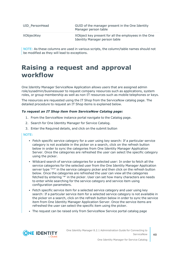| UID PersonHead | GUID of the manager present in the One Identity<br>Manager person table                      |
|----------------|----------------------------------------------------------------------------------------------|
| XObjectKey     | XObject key present for all the employees in the One<br><b>Identity Manager person table</b> |

NOTE: As these columns are used in various scripts, the column/table names should not be modified as they will lead to exceptions.

## <span id="page-39-0"></span>**Raising a request and approval workflow**

One Identity Manager ServiceNow Application allows users that are assigned admin role/sysadmin/businessuser to request company resources such as applications, system roles, or group membership as well as non-IT resources such as mobile telephones or keys.

The resources are requested using the IT Shop from the ServiceNow catalog page. The detailed procedure to request an IT Shop items is explained below.

#### *To request an IT Shop item from ServiceNow Catalog page:*

- 1. From the ServiceNow instance portal navigate to the Catalog page.
- 2. Search for One Identity Manager for Service Catalog.
- 3. Enter the Required details, and click on the submit button

#### NOTE:

- Fetch specific service category for a user using key search: If a particular service category is not available in the picker on a search, click on the refresh button below in order to sync the categories from One Identity Manager Application Server. Once the categories are refreshed the user can select the specific category using the picker.
- Wildcard search of service categories for a selected user: In order to fetch all the service categories for the selected user from the One Identity Manager Application server type '\*\*' in the service category picker and then click on the refresh button below. Once the categories are refreshed the user can view all the categories fetched by entering '\*' in the picker. User can set how many characters are needs to enter while searching for the service category and service item using configuration parameters.
- Fetch specific service item for a selected service category and user using key search: If a particular service item for a selected service category is not available in the picker on a search, click on the refresh button below in order to sync the service item from One Identity Manager Application Server. Once the service items are refreshed the user can select the specific item using the picker.
- The request can be raised only from ServiceNow Service portal catalog page

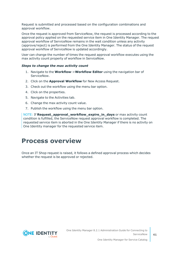Request is submitted and processed based on the configuration combinations and approval workflow.

Once the request is approved from ServiceNow, the request is processed according to the approval policy applied on the requested service item in One Identity Manager. The request approval workflow of ServiceNow remains in the wait condition unless any activity (approve/reject) is performed from the One Identity Manager. The status of the request approval workflow of ServiceNow is updated accordingly.

User can change the number of times the request approval workflow executes using the max activity count property of workflow in ServiceNow.

#### *Steps to change the max activity count*

- 1. Navigate to the **Workflow**->**Workflow Editor** using the navigation bar of ServiceNow.
- 2. Click on the **Approval Workflow** for New Access Request.
- 3. Check out the workflow using the menu bar option.
- 4. Click on the properties.
- 5. Navigate to the Activities tab.
- 6. Change the max activity count value.
- 7. Publish the workflow using the menu bar option.

NOTE: If **Request\_approval\_workflow\_expire\_in\_days** or max activity count condition is fulfilled, the ServiceNow request approval workflow is completed. The requested service item is aborted in the One Identity Manager if there is no activity on One Identity manager for the requested service item.

### <span id="page-40-0"></span>**Process overview**

Once an IT Shop request is raised, it follows a defined approval process which decides whether the request is be approved or rejected.

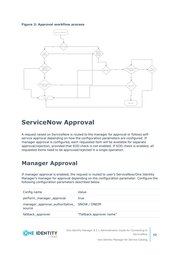**Figure 2: Approval workflow process**



## <span id="page-41-0"></span>**ServiceNow Approval**

A request raised on ServiceNow is routed to the manager for approval or follows selfservice approval depending on how the configuration parameters are configured. If manager approval is configured, each requested item will be available for separate approval/rejection, provided that SOD check is not enabled. If SOD check is enabled, all requested items need to be approved/rejected in a single operation.

### <span id="page-41-1"></span>**Manager Approval**

If manager approval is enabled, the request is routed to user's ServiceNow/One Identity Manager's manager for approval depending on the configuration parameter. Configure the following configuration parameters described below

| Config name                                            | Value                    |
|--------------------------------------------------------|--------------------------|
| perform_manager_approval                               | true                     |
| manager_approval_authoritative_ SNOW / ONEIM<br>source |                          |
| fallback_approver                                      | "Fallback approver name" |



One Identity Manager 8.2.1 Administration Guide for Connecting to **ServiceNow**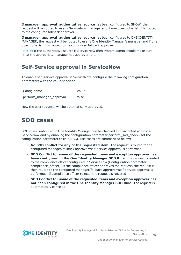If **manager\_approval\_authoritative\_source** has been configured to SNOW, the request will be routed to user's ServiceNow manager and if one does not exist, it is routed to the configured fallback approver.

If **manager\_approval\_authoritative\_source** has been configured to ONE IDENTITY MANAGER, the request will be routed to user's One Identity Manager's manager and if one does not exist, it is routed to the configured fallback approver.

NOTE: If the authoritative source is ServiceNow then system admin should make sure that the appropriate manager has approver role.

### <span id="page-42-0"></span>**Self-Service approval in ServiceNow**

To enable self-service approval in ServiceNow, configure the following configuration parameters with the value specified

| Config name              | Value |
|--------------------------|-------|
| perform_manager_approval | false |

<span id="page-42-1"></span>Now the user requests will be automatically approved.

### **SOD cases**

SOD rules configured in One Identity Manager can be checked and validated against at ServiceNow end by enabling the configuration parameter perform\_sod\_check (set the configuration parameter to true). SOD use cases are summarized below:

- <sup>l</sup> **No SOD conflict for any of the requested item**: The request is routed to the configured manager/fallback approver/self-service approval is performed.
- <sup>l</sup> **SOD Conflict for some of the requested items and exception approver has been configured in the One Identity Manager SOD Rule**: The request is routed to the compliance officer configured in ServiceNow (Configuration parameter: compliance officer). If the compliance officer approves the request, the request is then routed to the configured manager/fallback approver/self-service approval is performed. If compliance officer rejects, the request is rejected
- <sup>l</sup> **SOD Conflict for some of the requested items and exception approver has not been configured in the One Identity Manager SOD Rule**: The request is automatically canceled.

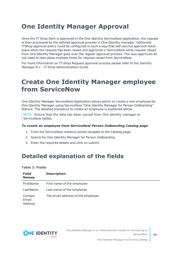# <span id="page-43-0"></span>**One Identity Manager Approval**

Once the IT Shop Item is approved in the One Identity ServiceNow application, the request is then processed by the defined approval process in One Identity manager. Optionally ITShop approval policy could be configured in such a way that self-service approval takes place when the request has been raised and approved in ServiceNow while request raised from One Identity Manager goes over the regular approval process. This way approvals do not need to take place multiple times for request raised from ServiceNow.

For more information on IT Shop Request approval process please refer to the *Identity Manager 8.1 - IT Shop Administration Guide*.

## <span id="page-43-1"></span>**Create One Identity Manager employee from ServiceNow**

One Identity Manager ServiceNow Application allows admin to create a new employee for One Identity Manager using ServiceNow "One Identity Manager for Person OnBoarding" feature. The detailed procedure to create an employee is explained below.

NOTE: Ensure that the data has been synced from One identity manager to ServiceNow tables.

#### *To create an employee from ServiceNow Person OnBoarding Catalog page*

- 1. From the ServiceNow instance portal navigate to the Catalog page.
- 2. Search for One Identity Manager for Person OnBoarding.
- <span id="page-43-2"></span>3. Enter the required details and click on submit.

### **Detailed explanation of the fields**

|  | Table 2: Fields |  |
|--|-----------------|--|
|  |                 |  |

| <b>Field</b><br><b>Names</b> | <b>Description</b>                |
|------------------------------|-----------------------------------|
| FirstName                    | First name of the employee        |
| LastName                     | Last name of the employee         |
| Contact<br>Email<br>Address  | The email address of the employee |

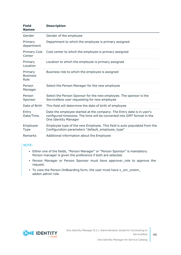| <b>Field</b><br><b>Names</b>       | <b>Description</b>                                                                                                                                                             |
|------------------------------------|--------------------------------------------------------------------------------------------------------------------------------------------------------------------------------|
| Gender                             | Gender of the employee                                                                                                                                                         |
| Primary<br>department              | Department to which the employee is primary assigned                                                                                                                           |
| <b>Primary Cost</b><br>Center      | Cost center to which the employee is primary assigned                                                                                                                          |
| Primary<br>Location                | Location to which the employee is primary assigned                                                                                                                             |
| Primary<br><b>Business</b><br>Role | Business role to which the employee is assigned                                                                                                                                |
| Person<br>Manager                  | Select the Person Manager for the new employee                                                                                                                                 |
| Person<br>Sponsor                  | Select the Person Sponsor for the new employee. The sponsor is the<br>ServiceNow user requesting for new employee                                                              |
| Date of Birth                      | This field will determine the date of birth of employee                                                                                                                        |
| Entry<br>Date/Time                 | Date the employee started at the company. The Entry date is in user's<br>configured timezone. The time will be converted into GMT format in the<br><b>One Identity Manager</b> |
| Employee<br>Type                   | Employee type of the new Employee. This field is auto populated from the<br>Configuration parameters "default_employee_type"                                                   |
| Remarks                            | Additional information about the Employee                                                                                                                                      |

#### NOTE:

- Either one of the fields, "Person Manager" or "Person Sponsor" is mandatory. Person manager is given the preference if both are selected.
- Person Manager or Person Sponsor must have approver role to approve the request.
- To view the Person OnBoarding form, the user must have x\_oni\_oneim\_ addon.admin role.

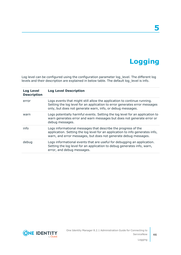# **Logging**

**5**

<span id="page-45-0"></span>Log level can be configured using the configuration parameter log\_level. The different log levels and their description are explained in below table. The default log\_level is info.

| <b>Log Level</b><br><b>Description</b> | <b>Log Level Description</b>                                                                                                                                                                                        |
|----------------------------------------|---------------------------------------------------------------------------------------------------------------------------------------------------------------------------------------------------------------------|
| error                                  | Logs events that might still allow the application to continue running.<br>Setting the log level for an application to error generates error messages<br>only, but does not generate warn, info, or debug messages. |
| warn                                   | Logs potentially harmful events. Setting the log level for an application to<br>warn generates error and warn messages but does not generate error or<br>debug messages.                                            |
| info                                   | Logs informational messages that describe the progress of the<br>application. Setting the log level for an application to info generates info,<br>warn, and error messages, but does not generate debug messages.   |
| debug                                  | Logs informational events that are useful for debugging an application.<br>Setting the log level for an application to debug generates info, warn,<br>error, and debug messages.                                    |

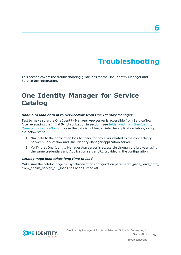# **Troubleshooting**

<span id="page-46-0"></span>This section covers the troubleshooting guidelines for the One Identity Manager and ServiceNow integration.

## <span id="page-46-1"></span>**One Identity Manager for Service Catalog**

#### *Unable to load data in to ServiceNow from One Identity Manager*

Test to make sure the One Identity Manager App server is accessible from ServiceNow. After executing the Initial Synchronization in section (see Initial load from One [Identity](#page-32-0) Manager to [ServiceNow\)](#page-32-0), in case the data is not loaded into the application tables, verify the below steps:

- 1. Navigate to the application logs to check for any error related to the connectivity between ServiceNow and One Identity Manager application server
- 2. Verify that One Identity Manager App server is accessible through the browser using the same credentials and Application server URL provided in the configuration

#### *Catalog Page load takes long time to load*

Make sure the catalog page full synchronization configuration parameter (page\_load\_data\_ from oneim server full load) has been turned off.